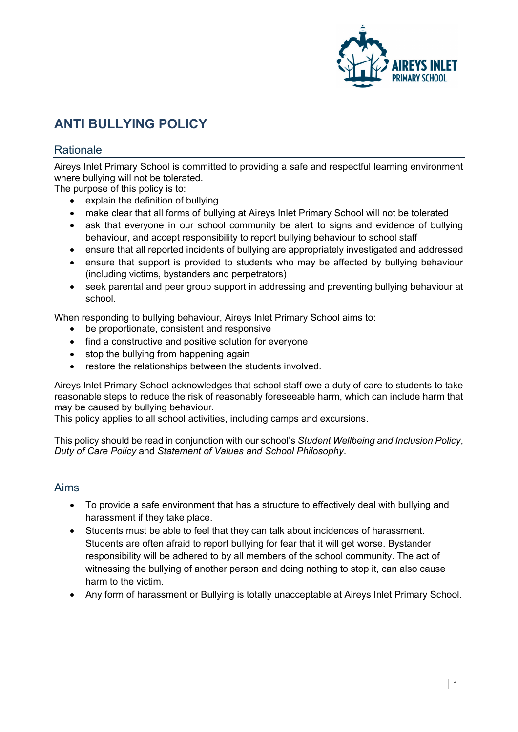

# **ANTI BULLYING POLICY**

## **Rationale**

Aireys Inlet Primary School is committed to providing a safe and respectful learning environment where bullying will not be tolerated.

The purpose of this policy is to:

- explain the definition of bullying
- make clear that all forms of bullying at Aireys Inlet Primary School will not be tolerated
- ask that everyone in our school community be alert to signs and evidence of bullying behaviour, and accept responsibility to report bullying behaviour to school staff
- ensure that all reported incidents of bullying are appropriately investigated and addressed
- ensure that support is provided to students who may be affected by bullying behaviour (including victims, bystanders and perpetrators)
- seek parental and peer group support in addressing and preventing bullying behaviour at school.

When responding to bullying behaviour, Aireys Inlet Primary School aims to:

- be proportionate, consistent and responsive
- find a constructive and positive solution for everyone
- stop the bullying from happening again
- restore the relationships between the students involved.

Aireys Inlet Primary School acknowledges that school staff owe a duty of care to students to take reasonable steps to reduce the risk of reasonably foreseeable harm, which can include harm that may be caused by bullying behaviour.

This policy applies to all school activities, including camps and excursions.

This policy should be read in conjunction with our school's *Student Wellbeing and Inclusion Policy*, *Duty of Care Policy* and *Statement of Values and School Philosophy*.

#### Aims

- To provide a safe environment that has a structure to effectively deal with bullying and harassment if they take place.
- Students must be able to feel that they can talk about incidences of harassment. Students are often afraid to report bullying for fear that it will get worse. Bystander responsibility will be adhered to by all members of the school community. The act of witnessing the bullying of another person and doing nothing to stop it, can also cause harm to the victim.
- Any form of harassment or Bullying is totally unacceptable at Aireys Inlet Primary School.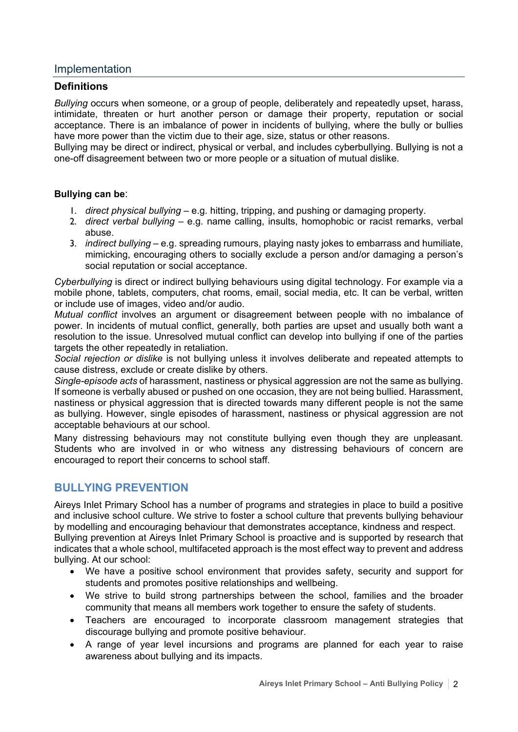## Implementation

#### **Definitions**

*Bullying* occurs when someone, or a group of people, deliberately and repeatedly upset, harass, intimidate, threaten or hurt another person or damage their property, reputation or social acceptance. There is an imbalance of power in incidents of bullying, where the bully or bullies have more power than the victim due to their age, size, status or other reasons.

Bullying may be direct or indirect, physical or verbal, and includes cyberbullying. Bullying is not a one-off disagreement between two or more people or a situation of mutual dislike.

#### **Bullying can be**:

- 1. *direct physical bullying* e.g. hitting, tripping, and pushing or damaging property.
- 2. *direct verbal bullying* e.g. name calling, insults, homophobic or racist remarks, verbal abuse.
- 3. *indirect bullying* e.g. spreading rumours, playing nasty jokes to embarrass and humiliate, mimicking, encouraging others to socially exclude a person and/or damaging a person's social reputation or social acceptance.

*Cyberbullying* is direct or indirect bullying behaviours using digital technology. For example via a mobile phone, tablets, computers, chat rooms, email, social media, etc. It can be verbal, written or include use of images, video and/or audio.

*Mutual conflict* involves an argument or disagreement between people with no imbalance of power. In incidents of mutual conflict, generally, both parties are upset and usually both want a resolution to the issue. Unresolved mutual conflict can develop into bullying if one of the parties targets the other repeatedly in retaliation.

*Social rejection or dislike* is not bullying unless it involves deliberate and repeated attempts to cause distress, exclude or create dislike by others.

*Single-episode acts* of harassment, nastiness or physical aggression are not the same as bullying. If someone is verbally abused or pushed on one occasion, they are not being bullied. Harassment, nastiness or physical aggression that is directed towards many different people is not the same as bullying. However, single episodes of harassment, nastiness or physical aggression are not acceptable behaviours at our school.

Many distressing behaviours may not constitute bullying even though they are unpleasant. Students who are involved in or who witness any distressing behaviours of concern are encouraged to report their concerns to school staff.

## **BULLYING PREVENTION**

Aireys Inlet Primary School has a number of programs and strategies in place to build a positive and inclusive school culture. We strive to foster a school culture that prevents bullying behaviour by modelling and encouraging behaviour that demonstrates acceptance, kindness and respect. Bullying prevention at Aireys Inlet Primary School is proactive and is supported by research that

indicates that a whole school, multifaceted approach is the most effect way to prevent and address bullying. At our school:

- We have a positive school environment that provides safety, security and support for students and promotes positive relationships and wellbeing.
- We strive to build strong partnerships between the school, families and the broader community that means all members work together to ensure the safety of students.
- Teachers are encouraged to incorporate classroom management strategies that discourage bullying and promote positive behaviour.
- A range of year level incursions and programs are planned for each year to raise awareness about bullying and its impacts.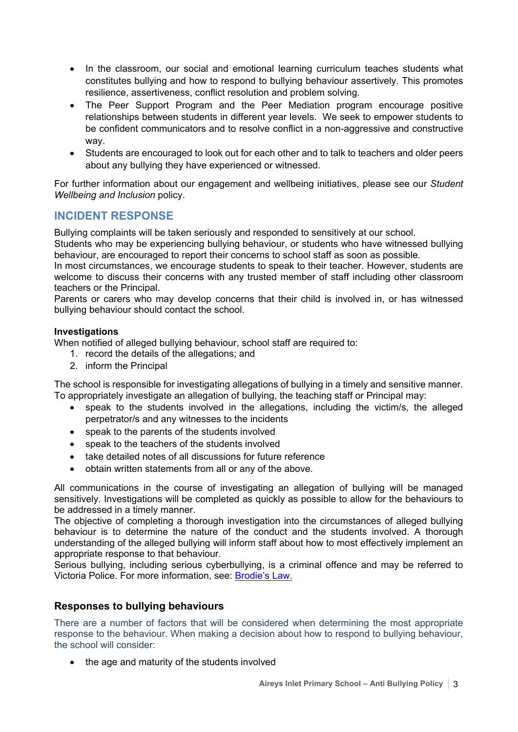- In the classroom, our social and emotional learning curriculum teaches students what constitutes bullying and how to respond to bullying behaviour assertively. This promotes resilience, assertiveness, conflict resolution and problem solving.
- The Peer Support Program and the Peer Mediation program encourage positive relationships between students in different year levels. We seek to empower students to be confident communicators and to resolve conflict in a non-aggressive and constructive way.
- Students are encouraged to look out for each other and to talk to teachers and older peers about any bullying they have experienced or witnessed.

For further information about our engagement and wellbeing initiatives, please see our *Student Wellbeing and Inclusion* policy.

## **INCIDENT RESPONSE**

Bullying complaints will be taken seriously and responded to sensitively at our school.

Students who may be experiencing bullying behaviour, or students who have witnessed bullying behaviour, are encouraged to report their concerns to school staff as soon as possible.

In most circumstances, we encourage students to speak to their teacher. However, students are welcome to discuss their concerns with any trusted member of staff including other classroom teachers or the Principal.

Parents or carers who may develop concerns that their child is involved in, or has witnessed bullying behaviour should contact the school.

#### **Investigations**

When notified of alleged bullying behaviour, school staff are required to:

- 1. record the details of the allegations; and
- 2. inform the Principal

The school is responsible for investigating allegations of bullying in a timely and sensitive manner. To appropriately investigate an allegation of bullying, the teaching staff or Principal may:

- speak to the students involved in the allegations, including the victim/s, the alleged perpetrator/s and any witnesses to the incidents
- speak to the parents of the students involved
- speak to the teachers of the students involved
- take detailed notes of all discussions for future reference
- obtain written statements from all or any of the above.

All communications in the course of investigating an allegation of bullying will be managed sensitively. Investigations will be completed as quickly as possible to allow for the behaviours to be addressed in a timely manner.

The objective of completing a thorough investigation into the circumstances of alleged bullying behaviour is to determine the nature of the conduct and the students involved. A thorough understanding of the alleged bullying will inform staff about how to most effectively implement an appropriate response to that behaviour.

Serious bullying, including serious cyberbullying, is a criminal offence and may be referred to Victoria Police. For more information, see: [Brodie's Law.](http://www.education.vic.gov.au/about/programs/bullystoppers/Pages/advicesheetbrodieslaw.aspx)

## **Responses to bullying behaviours**

There are a number of factors that will be considered when determining the most appropriate response to the behaviour. When making a decision about how to respond to bullying behaviour, the school will consider:

• the age and maturity of the students involved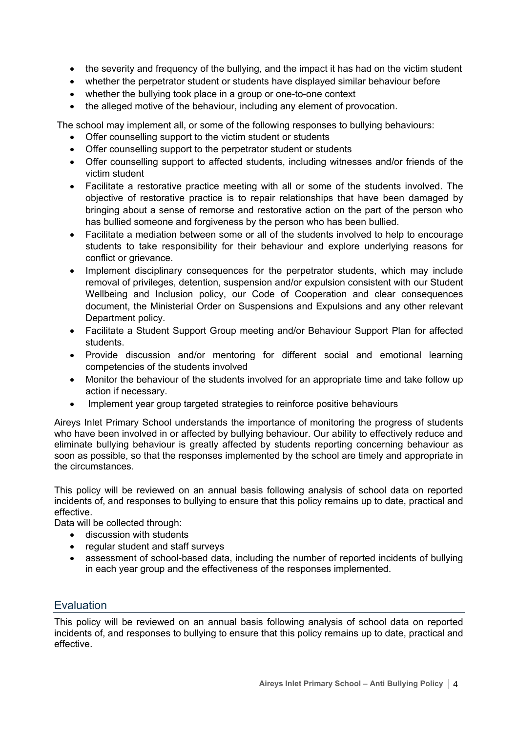- the severity and frequency of the bullying, and the impact it has had on the victim student
- whether the perpetrator student or students have displayed similar behaviour before
- whether the bullying took place in a group or one-to-one context
- the alleged motive of the behaviour, including any element of provocation.

The school may implement all, or some of the following responses to bullying behaviours:

- Offer counselling support to the victim student or students
- Offer counselling support to the perpetrator student or students
- Offer counselling support to affected students, including witnesses and/or friends of the victim student
- Facilitate a restorative practice meeting with all or some of the students involved. The objective of restorative practice is to repair relationships that have been damaged by bringing about a sense of remorse and restorative action on the part of the person who has bullied someone and forgiveness by the person who has been bullied.
- Facilitate a mediation between some or all of the students involved to help to encourage students to take responsibility for their behaviour and explore underlying reasons for conflict or grievance.
- Implement disciplinary consequences for the perpetrator students, which may include removal of privileges, detention, suspension and/or expulsion consistent with our Student Wellbeing and Inclusion policy, our Code of Cooperation and clear consequences document, the Ministerial Order on Suspensions and Expulsions and any other relevant Department policy.
- Facilitate a Student Support Group meeting and/or Behaviour Support Plan for affected students.
- Provide discussion and/or mentoring for different social and emotional learning competencies of the students involved
- Monitor the behaviour of the students involved for an appropriate time and take follow up action if necessary.
- Implement year group targeted strategies to reinforce positive behaviours

Aireys Inlet Primary School understands the importance of monitoring the progress of students who have been involved in or affected by bullying behaviour. Our ability to effectively reduce and eliminate bullying behaviour is greatly affected by students reporting concerning behaviour as soon as possible, so that the responses implemented by the school are timely and appropriate in the circumstances.

This policy will be reviewed on an annual basis following analysis of school data on reported incidents of, and responses to bullying to ensure that this policy remains up to date, practical and effective.

Data will be collected through:

- discussion with students
- regular student and staff surveys
- assessment of school-based data, including the number of reported incidents of bullying in each year group and the effectiveness of the responses implemented.

# **Evaluation**

This policy will be reviewed on an annual basis following analysis of school data on reported incidents of, and responses to bullying to ensure that this policy remains up to date, practical and effective.